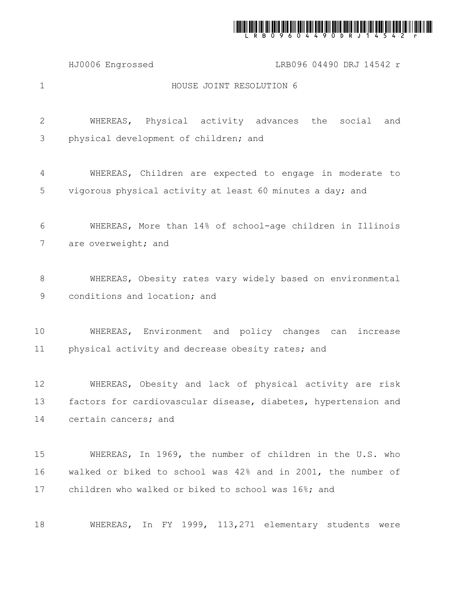

HJ0006 Engrossed LRB096 04490 DRJ 14542 r

1

## HOUSE JOINT RESOLUTION 6

WHEREAS, Physical activity advances the social and physical development of children; and 2 3

WHEREAS, Children are expected to engage in moderate to vigorous physical activity at least 60 minutes a day; and 4 5

WHEREAS, More than 14% of school-age children in Illinois are overweight; and 6 7

WHEREAS, Obesity rates vary widely based on environmental conditions and location; and 8 9

WHEREAS, Environment and policy changes can increase physical activity and decrease obesity rates; and 10 11

WHEREAS, Obesity and lack of physical activity are risk factors for cardiovascular disease, diabetes, hypertension and certain cancers; and 12 13 14

WHEREAS, In 1969, the number of children in the U.S. who walked or biked to school was 42% and in 2001, the number of children who walked or biked to school was 16%; and 15 16 17

WHEREAS, In FY 1999, 113,271 elementary students were 18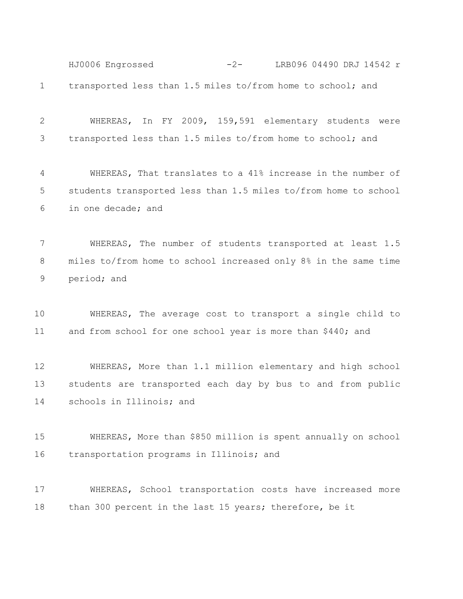transported less than 1.5 miles to/from home to school; and 1 HJ0006 Engrossed -2- LRB096 04490 DRJ 14542 r

WHEREAS, In FY 2009, 159,591 elementary students were transported less than 1.5 miles to/from home to school; and 2 3

WHEREAS, That translates to a 41% increase in the number of students transported less than 1.5 miles to/from home to school in one decade; and 4 5 6

WHEREAS, The number of students transported at least 1.5 miles to/from home to school increased only 8% in the same time period; and 7 8 9

WHEREAS, The average cost to transport a single child to and from school for one school year is more than \$440; and 10 11

WHEREAS, More than 1.1 million elementary and high school students are transported each day by bus to and from public schools in Illinois; and 12 13 14

WHEREAS, More than \$850 million is spent annually on school transportation programs in Illinois; and 15 16

WHEREAS, School transportation costs have increased more than 300 percent in the last 15 years; therefore, be it 17 18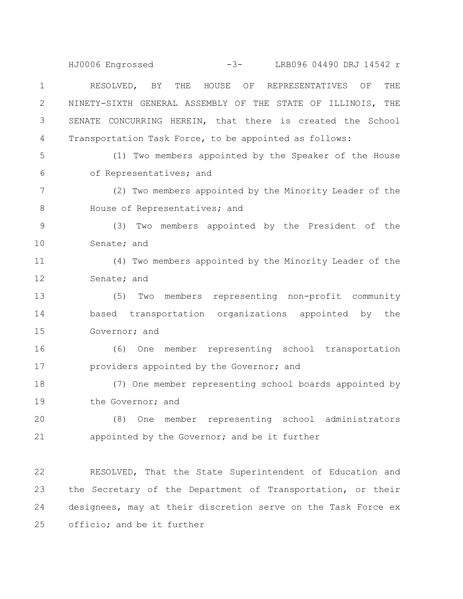RESOLVED, BY THE HOUSE OF REPRESENTATIVES OF THE NINETY-SIXTH GENERAL ASSEMBLY OF THE STATE OF ILLINOIS, THE SENATE CONCURRING HEREIN, that there is created the School Transportation Task Force, to be appointed as follows: 1 2 3 4 HJ0006 Engrossed -3- LRB096 04490 DRJ 14542 r

5 6

(1) Two members appointed by the Speaker of the House of Representatives; and

(2) Two members appointed by the Minority Leader of the House of Representatives; and 7 8

(3) Two members appointed by the President of the Senate; and 9 10

(4) Two members appointed by the Minority Leader of the Senate; and 11 12

(5) Two members representing non-profit community based transportation organizations appointed by the Governor; and 13 14 15

(6) One member representing school transportation providers appointed by the Governor; and 16 17

(7) One member representing school boards appointed by the Governor; and 18 19

(8) One member representing school administrators appointed by the Governor; and be it further 20 21

RESOLVED, That the State Superintendent of Education and the Secretary of the Department of Transportation, or their designees, may at their discretion serve on the Task Force ex officio; and be it further 22 23 24 25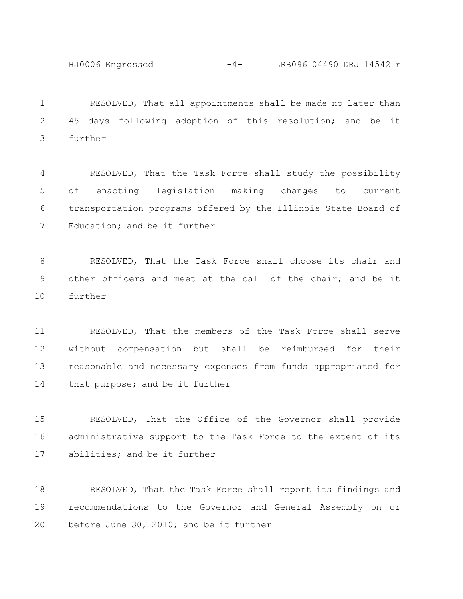HJ0006 Engrossed -4- LRB096 04490 DRJ 14542 r

RESOLVED, That all appointments shall be made no later than 45 days following adoption of this resolution; and be it further 1 2 3

RESOLVED, That the Task Force shall study the possibility of enacting legislation making changes to current transportation programs offered by the Illinois State Board of Education; and be it further 4 5 6 7

RESOLVED, That the Task Force shall choose its chair and other officers and meet at the call of the chair; and be it further 8 9 10

RESOLVED, That the members of the Task Force shall serve without compensation but shall be reimbursed for their reasonable and necessary expenses from funds appropriated for that purpose; and be it further 11 12 13 14

RESOLVED, That the Office of the Governor shall provide administrative support to the Task Force to the extent of its abilities; and be it further 15 16 17

RESOLVED, That the Task Force shall report its findings and recommendations to the Governor and General Assembly on or before June 30, 2010; and be it further 18 19 20